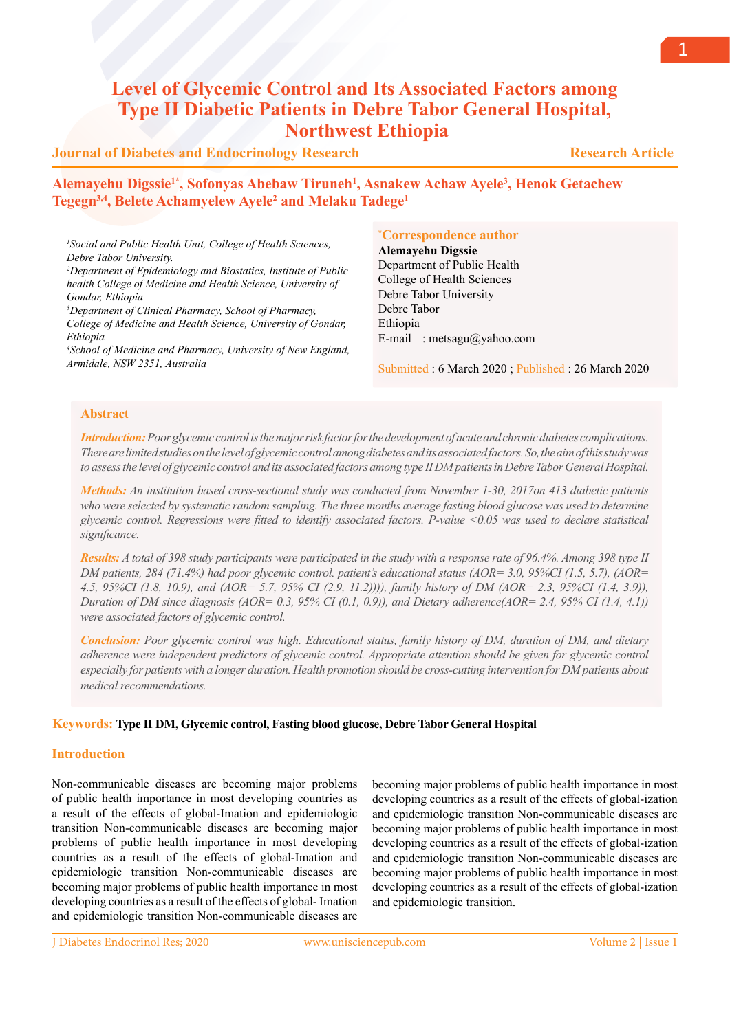# **Level of Glycemic Control and Its Associated Factors among Type II Diabetic Patients in Debre Tabor General Hospital, Northwest Ethiopia**

# **Journal of Diabetes and Endocrinology Research**

**Alemayehu Digssie1\*, Sofonyas Abebaw Tiruneh1 , Asnakew Achaw Ayele3 , Henok Getachew Tegegn3,4, Belete Achamyelew Ayele2 and Melaku Tadege1**

*1 Social and Public Health Unit, College of Health Sciences, Debre Tabor University. 2 Department of Epidemiology and Biostatics, Institute of Public health College of Medicine and Health Science, University of Gondar, Ethiopia 3 Department of Clinical Pharmacy, School of Pharmacy,* 

*College of Medicine and Health Science, University of Gondar, Ethiopia* 

*4 School of Medicine and Pharmacy, University of New England, Armidale, NSW 2351, Australia*

# **\* Correspondence author**

**Alemayehu Digssie** Department of Public Health College of Health Sciences Debre Tabor University Debre Tabor Ethiopia E-mail : metsagu@yahoo.com

Submitted : 6 March 2020 ; Published : 26 March 2020

# **Abstract**

*Introduction: Poor glycemic control is the major risk factor for the development of acute and chronic diabetes complications. There are limited studies on the level of glycemic control among diabetes and its associated factors. So, the aim of this study was to assess the level of glycemic control and its associated factors among type II DM patients in Debre Tabor General Hospital.*

*Methods: An institution based cross-sectional study was conducted from November 1-30, 2017on 413 diabetic patients*  who were selected by systematic random sampling. The three months average fasting blood glucose was used to determine *glycemic control. Regressions were fitted to identify associated factors. P-value <0.05 was used to declare statistical significance.* 

*Results: A total of 398 study participants were participated in the study with a response rate of 96.4%. Among 398 type II DM patients, 284 (71.4%) had poor glycemic control. patient's educational status (AOR= 3.0, 95%CI (1.5, 5.7), (AOR= 4.5, 95%CI (1.8, 10.9), and (AOR= 5.7, 95% CI (2.9, 11.2)))), family history of DM (AOR= 2.3, 95%CI (1.4, 3.9)), Duration of DM since diagnosis (AOR= 0.3, 95% CI (0.1, 0.9)), and Dietary adherence(AOR= 2.4, 95% CI (1.4, 4.1)) were associated factors of glycemic control.*

*Conclusion: Poor glycemic control was high. Educational status, family history of DM, duration of DM, and dietary adherence were independent predictors of glycemic control. Appropriate attention should be given for glycemic control especially for patients with a longer duration. Health promotion should be cross-cutting intervention for DM patients about medical recommendations.*

# **Keywords: Type II DM, Glycemic control, Fasting blood glucose, Debre Tabor General Hospital**

# **Introduction**

Non-communicable diseases are becoming major problems of public health importance in most developing countries as a result of the effects of global-Imation and epidemiologic transition Non-communicable diseases are becoming major problems of public health importance in most developing countries as a result of the effects of global-Imation and epidemiologic transition Non-communicable diseases are becoming major problems of public health importance in most developing countries as a result of the effects of global- Imation and epidemiologic transition Non-communicable diseases are

becoming major problems of public health importance in most developing countries as a result of the effects of global-ization and epidemiologic transition Non-communicable diseases are becoming major problems of public health importance in most developing countries as a result of the effects of global-ization and epidemiologic transition Non-communicable diseases are becoming major problems of public health importance in most developing countries as a result of the effects of global-ization and epidemiologic transition.

 **Research Article**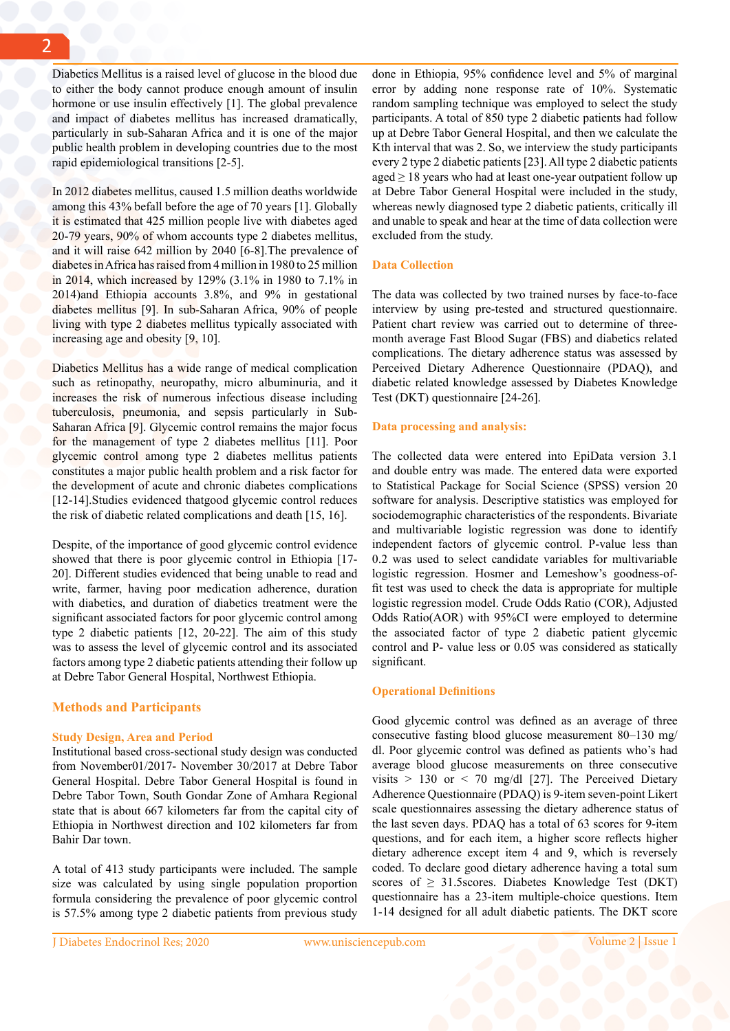Diabetics Mellitus is a raised level of glucose in the blood due to either the body cannot produce enough amount of insulin hormone or use insulin effectively [1]. The global prevalence and impact of diabetes mellitus has increased dramatically, particularly in sub-Saharan Africa and it is one of the major public health problem in developing countries due to the most rapid epidemiological transitions [2-5].

In 2012 diabetes mellitus, caused 1.5 million deaths worldwide among this 43% befall before the age of 70 years [1]. Globally it is estimated that 425 million people live with diabetes aged 20-79 years, 90% of whom accounts type 2 diabetes mellitus, and it will raise 642 million by 2040 [6-8].The prevalence of diabetes in Africa has raised from 4 million in 1980 to 25 million in 2014, which increased by 129% (3.1% in 1980 to 7.1% in 2014)and Ethiopia accounts 3.8%, and 9% in gestational diabetes mellitus [9]. In sub-Saharan Africa, 90% of people living with type 2 diabetes mellitus typically associated with increasing age and obesity [9, 10].

Diabetics Mellitus has a wide range of medical complication such as retinopathy, neuropathy, micro albuminuria, and it increases the risk of numerous infectious disease including tuberculosis, pneumonia, and sepsis particularly in Sub-Saharan Africa [9]. Glycemic control remains the major focus for the management of type 2 diabetes mellitus [11]. Poor glycemic control among type 2 diabetes mellitus patients constitutes a major public health problem and a risk factor for the development of acute and chronic diabetes complications [12-14].Studies evidenced thatgood glycemic control reduces the risk of diabetic related complications and death [15, 16].

Despite, of the importance of good glycemic control evidence showed that there is poor glycemic control in Ethiopia [17-20]. Different studies evidenced that being unable to read and write, farmer, having poor medication adherence, duration with diabetics, and duration of diabetics treatment were the significant associated factors for poor glycemic control among type 2 diabetic patients [12, 20-22]. The aim of this study was to assess the level of glycemic control and its associated factors among type 2 diabetic patients attending their follow up at Debre Tabor General Hospital, Northwest Ethiopia.

#### **Methods and Participants**

#### **Study Design, Area and Period**

Institutional based cross-sectional study design was conducted from November01/2017- November 30/2017 at Debre Tabor General Hospital. Debre Tabor General Hospital is found in Debre Tabor Town, South Gondar Zone of Amhara Regional state that is about 667 kilometers far from the capital city of Ethiopia in Northwest direction and 102 kilometers far from Bahir Dar town.

A total of 413 study participants were included. The sample size was calculated by using single population proportion formula considering the prevalence of poor glycemic control is 57.5% among type 2 diabetic patients from previous study done in Ethiopia, 95% confidence level and 5% of marginal error by adding none response rate of 10%. Systematic random sampling technique was employed to select the study participants. A total of 850 type 2 diabetic patients had follow up at Debre Tabor General Hospital, and then we calculate the Kth interval that was 2. So, we interview the study participants every 2 type 2 diabetic patients [23]. All type 2 diabetic patients aged  $\geq$  18 years who had at least one-year outpatient follow up at Debre Tabor General Hospital were included in the study, whereas newly diagnosed type 2 diabetic patients, critically ill and unable to speak and hear at the time of data collection were excluded from the study.

#### **Data Collection**

The data was collected by two trained nurses by face-to-face interview by using pre-tested and structured questionnaire. Patient chart review was carried out to determine of threemonth average Fast Blood Sugar (FBS) and diabetics related complications. The dietary adherence status was assessed by Perceived Dietary Adherence Questionnaire (PDAQ), and diabetic related knowledge assessed by Diabetes Knowledge Test (DKT) questionnaire [24-26].

#### **Data processing and analysis:**

The collected data were entered into EpiData version 3.1 and double entry was made. The entered data were exported to Statistical Package for Social Science (SPSS) version 20 software for analysis. Descriptive statistics was employed for sociodemographic characteristics of the respondents. Bivariate and multivariable logistic regression was done to identify independent factors of glycemic control. P-value less than 0.2 was used to select candidate variables for multivariable logistic regression. Hosmer and Lemeshow's goodness-offit test was used to check the data is appropriate for multiple logistic regression model. Crude Odds Ratio (COR), Adjusted Odds Ratio(AOR) with 95%CI were employed to determine the associated factor of type 2 diabetic patient glycemic control and P- value less or 0.05 was considered as statically significant.

#### **Operational Definitions**

Good glycemic control was defined as an average of three consecutive fasting blood glucose measurement 80–130 mg/ dl. Poor glycemic control was defined as patients who's had average blood glucose measurements on three consecutive visits  $> 130$  or  $< 70$  mg/dl [27]. The Perceived Dietary Adherence Questionnaire (PDAQ) is 9-item seven-point Likert scale questionnaires assessing the dietary adherence status of the last seven days. PDAQ has a total of 63 scores for 9-item questions, and for each item, a higher score reflects higher dietary adherence except item 4 and 9, which is reversely coded. To declare good dietary adherence having a total sum scores of  $\geq$  31.5scores. Diabetes Knowledge Test (DKT) questionnaire has a 23-item multiple-choice questions. Item 1-14 designed for all adult diabetic patients. The DKT score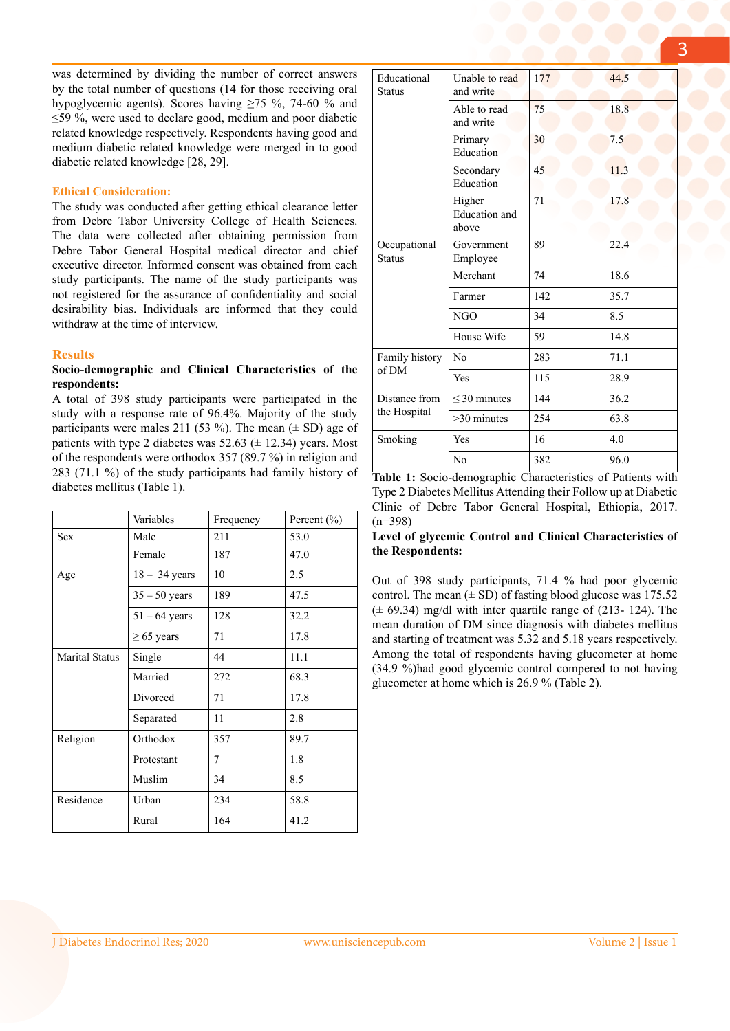was determined by dividing the number of correct answers by the total number of questions (14 for those receiving oral hypoglycemic agents). Scores having  $\geq 75$  %, 74-60 % and ≤59 %, were used to declare good, medium and poor diabetic related knowledge respectively. Respondents having good and medium diabetic related knowledge were merged in to good diabetic related knowledge [28, 29].

# **Ethical Consideration:**

The study was conducted after getting ethical clearance letter from Debre Tabor University College of Health Sciences. The data were collected after obtaining permission from Debre Tabor General Hospital medical director and chief executive director. Informed consent was obtained from each study participants. The name of the study participants was not registered for the assurance of confidentiality and social desirability bias. Individuals are informed that they could withdraw at the time of interview.

## **Results**

# **Socio-demographic and Clinical Characteristics of the respondents:**

A total of 398 study participants were participated in the study with a response rate of 96.4%. Majority of the study participants were males 211 (53 %). The mean  $(\pm SD)$  age of patients with type 2 diabetes was  $52.63 \ (\pm 12.34)$  years. Most of the respondents were orthodox 357 (89.7 %) in religion and 283 (71.1 %) of the study participants had family history of diabetes mellitus (Table 1).

|                       | Variables       | Frequency | Percent (%) |
|-----------------------|-----------------|-----------|-------------|
| <b>Sex</b>            | Male            | 211       | 53.0        |
|                       | Female          | 187       | 47.0        |
| Age                   | $18 - 34$ years | 10        | 2.5         |
|                       | $35 - 50$ years | 189       | 47.5        |
|                       | $51 - 64$ years | 128       | 32.2        |
|                       | $\geq 65$ years | 71        | 17.8        |
| <b>Marital Status</b> | Single          | 44        | 11.1        |
|                       | Married         | 272       | 68.3        |
|                       | Divorced        | 71        | 17.8        |
|                       | Separated       | 11        | 2.8         |
| Religion              | Orthodox        | 357       | 89.7        |
|                       | Protestant      | 7         | 1.8         |
|                       | Muslim          | 34        | 8.5         |
| Residence             | Urban           | 234       | 58.8        |
|                       | Rural           | 164       | 41.2        |

| Educational<br><b>Status</b>  | Unable to read<br>and write      | 177 | 44.5 |
|-------------------------------|----------------------------------|-----|------|
|                               | Able to read<br>and write        | 75  | 18.8 |
|                               | Primary<br>Education             | 30  | 7.5  |
|                               | Secondary<br>Education           | 45  | 11.3 |
|                               | Higher<br>Education and<br>above | 71  | 17.8 |
| Occupational<br><b>Status</b> | Government<br>Employee           | 89  | 22.4 |
|                               | Merchant                         | 74  | 18.6 |
|                               | Farmer                           | 142 | 35.7 |
|                               | <b>NGO</b>                       | 34  | 8.5  |
|                               | House Wife                       | 59  | 14.8 |
| Family history<br>of DM       | No                               | 283 | 71.1 |
|                               | Yes                              | 115 | 28.9 |
| Distance from<br>the Hospital | $<$ 30 minutes                   | 144 | 36.2 |
|                               | $>30$ minutes                    | 254 | 63.8 |
| Smoking                       | Yes                              | 16  | 4.0  |
|                               | N <sub>0</sub>                   | 382 | 96.0 |

**Table 1:** Socio-demographic Characteristics of Patients with Type 2 Diabetes Mellitus Attending their Follow up at Diabetic Clinic of Debre Tabor General Hospital, Ethiopia, 2017. (n=398)

## **Level of glycemic Control and Clinical Characteristics of the Respondents:**

Out of 398 study participants, 71.4 % had poor glycemic control. The mean  $(\pm SD)$  of fasting blood glucose was 175.52  $(\pm 69.34)$  mg/dl with inter quartile range of (213- 124). The mean duration of DM since diagnosis with diabetes mellitus and starting of treatment was 5.32 and 5.18 years respectively. Among the total of respondents having glucometer at home (34.9 %)had good glycemic control compered to not having glucometer at home which is 26.9 % (Table 2).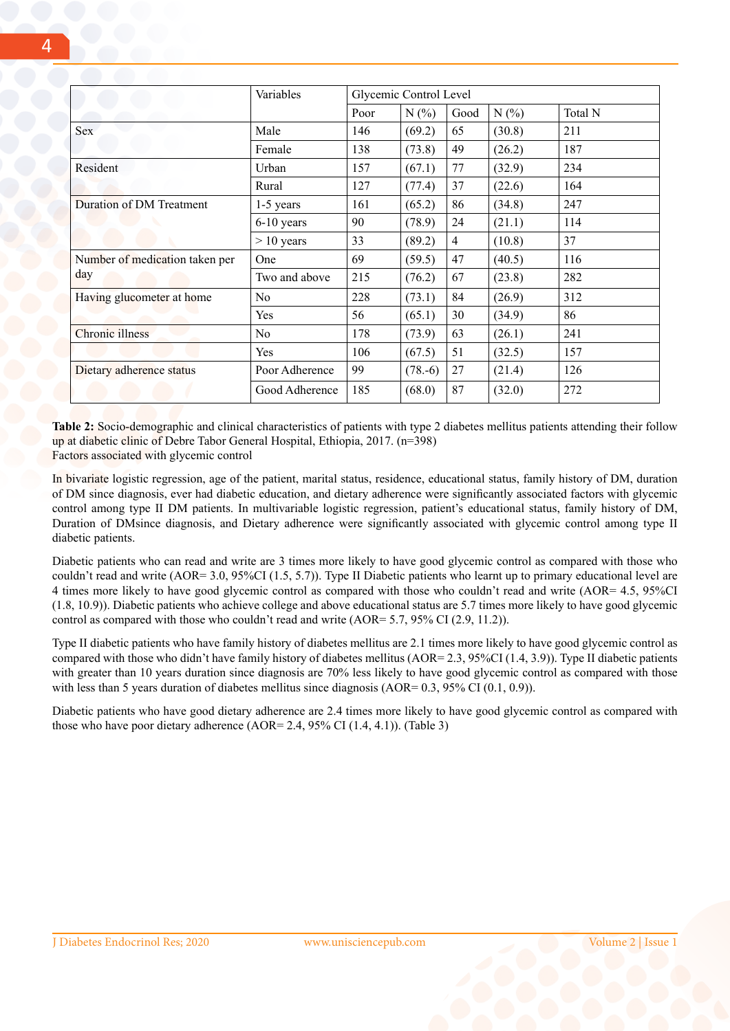|                                | Variables      | Glycemic Control Level |            |                |        |         |
|--------------------------------|----------------|------------------------|------------|----------------|--------|---------|
|                                |                | Poor                   | N(%        | Good           | N(%    | Total N |
| Sex                            | Male           | 146                    | (69.2)     | 65             | (30.8) | 211     |
|                                | Female         | 138                    | (73.8)     | 49             | (26.2) | 187     |
| Resident                       | Urban          | 157                    | (67.1)     | 77             | (32.9) | 234     |
|                                | Rural          | 127                    | (77.4)     | 37             | (22.6) | 164     |
| Duration of DM Treatment       | $1-5$ years    | 161                    | (65.2)     | 86             | (34.8) | 247     |
|                                | $6-10$ years   | 90                     | (78.9)     | 24             | (21.1) | 114     |
|                                | $> 10$ years   | 33                     | (89.2)     | $\overline{4}$ | (10.8) | 37      |
| Number of medication taken per | One            | 69                     | (59.5)     | 47             | (40.5) | 116     |
| day                            | Two and above  | 215                    | (76.2)     | 67             | (23.8) | 282     |
| Having glucometer at home      | N <sub>0</sub> | 228                    | (73.1)     | 84             | (26.9) | 312     |
|                                | Yes            | 56                     | (65.1)     | 30             | (34.9) | 86      |
| Chronic illness                | N <sub>0</sub> | 178                    | (73.9)     | 63             | (26.1) | 241     |
|                                | Yes            | 106                    | (67.5)     | 51             | (32.5) | 157     |
| Dietary adherence status       | Poor Adherence | 99                     | $(78. -6)$ | 27             | (21.4) | 126     |
|                                | Good Adherence | 185                    | (68.0)     | 87             | (32.0) | 272     |

**Table 2:** Socio-demographic and clinical characteristics of patients with type 2 diabetes mellitus patients attending their follow up at diabetic clinic of Debre Tabor General Hospital, Ethiopia, 2017. (n=398) Factors associated with glycemic control

In bivariate logistic regression, age of the patient, marital status, residence, educational status, family history of DM, duration of DM since diagnosis, ever had diabetic education, and dietary adherence were significantly associated factors with glycemic control among type II DM patients. In multivariable logistic regression, patient's educational status, family history of DM, Duration of DMsince diagnosis, and Dietary adherence were significantly associated with glycemic control among type II diabetic patients.

Diabetic patients who can read and write are 3 times more likely to have good glycemic control as compared with those who couldn't read and write (AOR= 3.0, 95%CI (1.5, 5.7)). Type II Diabetic patients who learnt up to primary educational level are 4 times more likely to have good glycemic control as compared with those who couldn't read and write (AOR= 4.5, 95%CI (1.8, 10.9)). Diabetic patients who achieve college and above educational status are 5.7 times more likely to have good glycemic control as compared with those who couldn't read and write (AOR= 5.7, 95% CI (2.9, 11.2)).

Type II diabetic patients who have family history of diabetes mellitus are 2.1 times more likely to have good glycemic control as compared with those who didn't have family history of diabetes mellitus (AOR= 2.3, 95%CI (1.4, 3.9)). Type II diabetic patients with greater than 10 years duration since diagnosis are 70% less likely to have good glycemic control as compared with those with less than 5 years duration of diabetes mellitus since diagnosis (AOR=  $0.3$ ,  $95\%$  CI ( $0.1$ ,  $0.9$ )).

Diabetic patients who have good dietary adherence are 2.4 times more likely to have good glycemic control as compared with those who have poor dietary adherence (AOR= 2.4, 95% CI (1.4, 4.1)). (Table 3)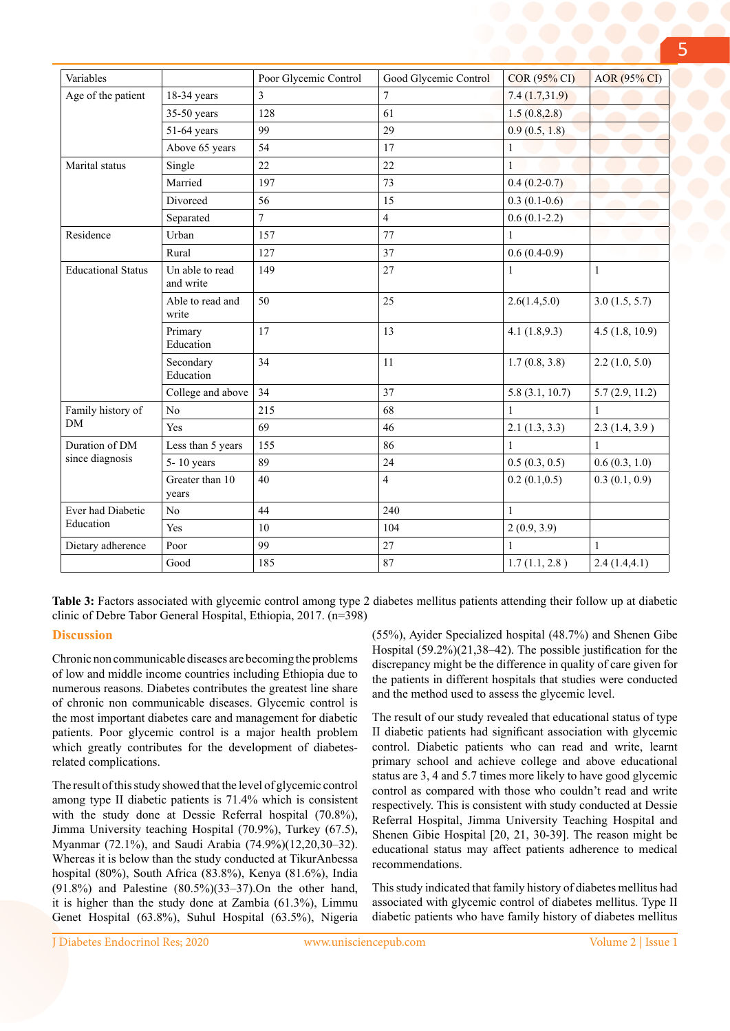| Variables                         |                              | Poor Glycemic Control | Good Glycemic Control | <b>COR (95% CI)</b> | <b>AOR</b> (95% CI) |
|-----------------------------------|------------------------------|-----------------------|-----------------------|---------------------|---------------------|
| Age of the patient                | $18-34$ years                | 3                     | $\tau$                | 7.4(1.7,31.9)       |                     |
|                                   | $35-50$ years                | 128                   | 61                    | 1.5(0.8, 2.8)       |                     |
|                                   | 51-64 years                  | 99                    | 29                    | 0.9(0.5, 1.8)       |                     |
|                                   | Above 65 years               | 54                    | 17                    | $\mathbf{1}$        |                     |
| Marital status                    | Single                       | 22                    | 22                    | $\mathbf{1}$        |                     |
|                                   | Married                      | 197                   | 73                    | $0.4(0.2-0.7)$      |                     |
|                                   | Divorced                     | 56                    | 15                    | $0.3(0.1-0.6)$      |                     |
|                                   | Separated                    | $\tau$                | $\overline{4}$        | $0.6(0.1-2.2)$      |                     |
| Residence                         | Urban                        | 157                   | 77                    | $\mathbf{1}$        |                     |
|                                   | Rural                        | 127                   | 37                    | $0.6(0.4-0.9)$      |                     |
| <b>Educational Status</b>         | Un able to read<br>and write | 149                   | 27                    | $\mathbf{1}$        | $\mathbf{1}$        |
|                                   | Able to read and<br>write    | 50                    | 25                    | 2.6(1.4, 5.0)       | 3.0(1.5, 5.7)       |
|                                   | Primary<br>Education         | 17                    | 13                    | 4.1(1.8,9.3)        | 4.5(1.8, 10.9)      |
|                                   | Secondary<br>Education       | 34                    | 11                    | 1.7(0.8, 3.8)       | 2.2(1.0, 5.0)       |
|                                   | College and above            | 34                    | 37                    | 5.8(3.1, 10.7)      | 5.7(2.9, 11.2)      |
| Family history of<br><b>DM</b>    | No                           | 215                   | 68                    | $\mathbf{1}$        | $\mathbf{1}$        |
|                                   | Yes                          | 69                    | 46                    | 2.1(1.3, 3.3)       | 2.3(1.4, 3.9)       |
| Duration of DM<br>since diagnosis | Less than 5 years            | 155                   | 86                    | $\mathbf{1}$        | $\mathbf{1}$        |
|                                   | $5 - 10$ years               | 89                    | 24                    | 0.5(0.3, 0.5)       | 0.6(0.3, 1.0)       |
|                                   | Greater than 10<br>years     | 40                    | $\overline{4}$        | 0.2(0.1, 0.5)       | 0.3(0.1, 0.9)       |
| Ever had Diabetic<br>Education    | No                           | 44                    | 240                   | $\mathbf{1}$        |                     |
|                                   | Yes                          | 10                    | 104                   | 2(0.9, 3.9)         |                     |
| Dietary adherence                 | Poor                         | 99                    | 27                    | $\mathbf{1}$        | $\mathbf{1}$        |
|                                   | Good                         | 185                   | 87                    | 1.7(1.1, 2.8)       | 2.4(1.4, 4.1)       |

**Table 3:** Factors associated with glycemic control among type 2 diabetes mellitus patients attending their follow up at diabetic clinic of Debre Tabor General Hospital, Ethiopia, 2017. (n=398)

# **Discussion**

Chronic non communicable diseases are becoming the problems of low and middle income countries including Ethiopia due to numerous reasons. Diabetes contributes the greatest line share of chronic non communicable diseases. Glycemic control is the most important diabetes care and management for diabetic patients. Poor glycemic control is a major health problem which greatly contributes for the development of diabetesrelated complications.

The result of this study showed that the level of glycemic control among type II diabetic patients is 71.4% which is consistent with the study done at Dessie Referral hospital (70.8%), Jimma University teaching Hospital (70.9%), Turkey (67.5), Myanmar (72.1%), and Saudi Arabia (74.9%)(12,20,30–32). Whereas it is below than the study conducted at TikurAnbessa hospital (80%), South Africa (83.8%), Kenya (81.6%), India (91.8%) and Palestine (80.5%)(33–37).On the other hand, it is higher than the study done at Zambia (61.3%), Limmu Genet Hospital (63.8%), Suhul Hospital (63.5%), Nigeria (55%), Ayider Specialized hospital (48.7%) and Shenen Gibe Hospital (59.2%)(21,38–42). The possible justification for the discrepancy might be the difference in quality of care given for the patients in different hospitals that studies were conducted and the method used to assess the glycemic level.

The result of our study revealed that educational status of type II diabetic patients had significant association with glycemic control. Diabetic patients who can read and write, learnt primary school and achieve college and above educational status are 3, 4 and 5.7 times more likely to have good glycemic control as compared with those who couldn't read and write respectively. This is consistent with study conducted at Dessie Referral Hospital, Jimma University Teaching Hospital and Shenen Gibie Hospital [20, 21, 30-39]. The reason might be educational status may affect patients adherence to medical recommendations.

This study indicated that family history of diabetes mellitus had associated with glycemic control of diabetes mellitus. Type II diabetic patients who have family history of diabetes mellitus

5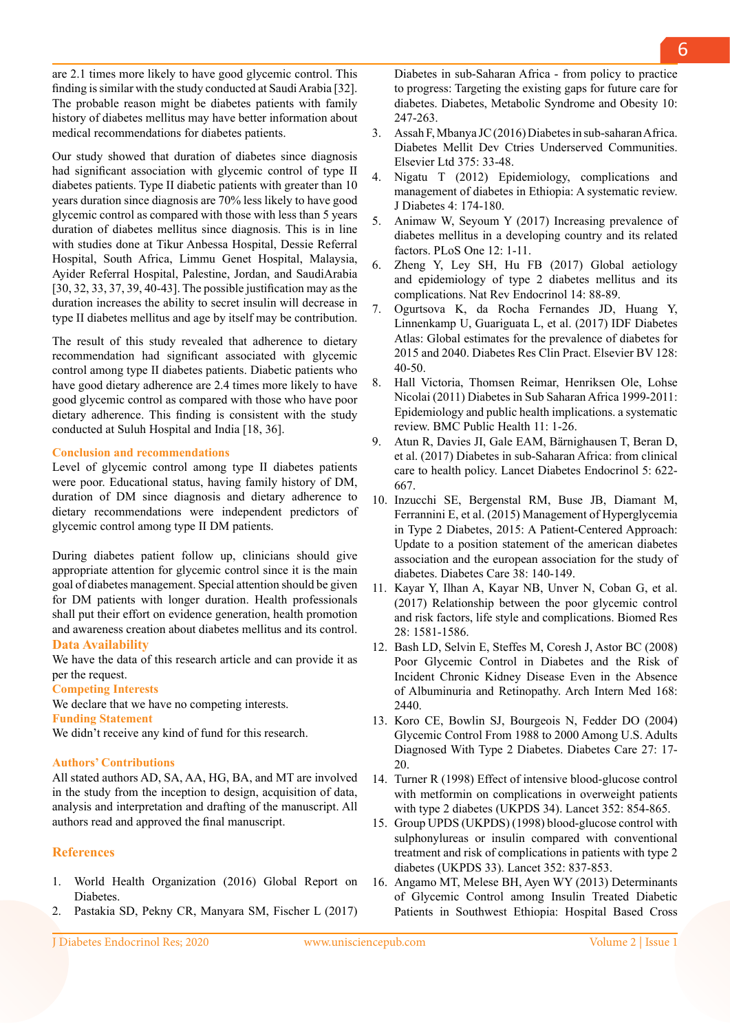**References**

**Data Availability**

**Funding Statement** 

**Authors' Contributions**

per the request. **Competing Interests**

1. World Health Organization (2016) Global Report on Diabetes.

All stated authors AD, SA, AA, HG, BA, and MT are involved in the study from the inception to design, acquisition of data, analysis and interpretation and drafting of the manuscript. All

are 2.1 times more likely to have good glycemic control. This finding is similar with the study conducted at Saudi Arabia [32]. The probable reason might be diabetes patients with family history of diabetes mellitus may have better information about

Our study showed that duration of diabetes since diagnosis had significant association with glycemic control of type II diabetes patients. Type II diabetic patients with greater than 10 years duration since diagnosis are 70% less likely to have good glycemic control as compared with those with less than 5 years duration of diabetes mellitus since diagnosis. This is in line with studies done at Tikur Anbessa Hospital, Dessie Referral Hospital, South Africa, Limmu Genet Hospital, Malaysia, Ayider Referral Hospital, Palestine, Jordan, and SaudiArabia [30, 32, 33, 37, 39, 40-43]. The possible justification may as the duration increases the ability to secret insulin will decrease in type II diabetes mellitus and age by itself may be contribution. The result of this study revealed that adherence to dietary recommendation had significant associated with glycemic control among type II diabetes patients. Diabetic patients who have good dietary adherence are 2.4 times more likely to have good glycemic control as compared with those who have poor dietary adherence. This finding is consistent with the study

medical recommendations for diabetes patients.

conducted at Suluh Hospital and India [18, 36].

glycemic control among type II DM patients.

We declare that we have no competing interests.

authors read and approved the final manuscript.

We didn't receive any kind of fund for this research.

Level of glycemic control among type II diabetes patients were poor. Educational status, having family history of DM, duration of DM since diagnosis and dietary adherence to dietary recommendations were independent predictors of

During diabetes patient follow up, clinicians should give appropriate attention for glycemic control since it is the main goal of diabetes management. Special attention should be given for DM patients with longer duration. Health professionals shall put their effort on evidence generation, health promotion and awareness creation about diabetes mellitus and its control.

We have the data of this research article and can provide it as

**Conclusion and recommendations** 

2. Pastakia SD, Pekny CR, Manyara SM, Fischer L (2017)

Diabetes in sub-Saharan Africa - from policy to practice to progress: Targeting the existing gaps for future care for diabetes. Diabetes, Metabolic Syndrome and Obesity 10: 247-263.

- 3. Assah F, Mbanya JC (2016) Diabetes in sub-saharan Africa. Diabetes Mellit Dev Ctries Underserved Communities. Elsevier Ltd 375: 33-48.
- 4. Nigatu T (2012) Epidemiology, complications and management of diabetes in Ethiopia: A systematic review. J Diabetes 4: 174-180.
- 5. Animaw W, Seyoum Y (2017) Increasing prevalence of diabetes mellitus in a developing country and its related factors. PLoS One 12: 1-11.
- 6. Zheng Y, Ley SH, Hu FB (2017) Global aetiology and epidemiology of type 2 diabetes mellitus and its complications. Nat Rev Endocrinol 14: 88-89.
- 7. Ogurtsova K, da Rocha Fernandes JD, Huang Y, Linnenkamp U, Guariguata L, et al. (2017) IDF Diabetes Atlas: Global estimates for the prevalence of diabetes for 2015 and 2040. Diabetes Res Clin Pract. Elsevier BV 128: 40-50.
- 8. Hall Victoria, Thomsen Reimar, Henriksen Ole, Lohse Nicolai (2011) Diabetes in Sub Saharan Africa 1999-2011: Epidemiology and public health implications. a systematic review. BMC Public Health 11: 1-26.
- 9. Atun R, Davies JI, Gale EAM, Bärnighausen T, Beran D, et al. (2017) Diabetes in sub-Saharan Africa: from clinical care to health policy. Lancet Diabetes Endocrinol 5: 622- 667.
- 10. Inzucchi SE, Bergenstal RM, Buse JB, Diamant M, Ferrannini E, et al. (2015) Management of Hyperglycemia in Type 2 Diabetes, 2015: A Patient-Centered Approach: Update to a position statement of the american diabetes association and the european association for the study of diabetes. Diabetes Care 38: 140-149.
- 11. Kayar Y, Ilhan A, Kayar NB, Unver N, Coban G, et al. (2017) Relationship between the poor glycemic control and risk factors, life style and complications. Biomed Res 28: 1581-1586.
- 12. Bash LD, Selvin E, Steffes M, Coresh J, Astor BC (2008) Poor Glycemic Control in Diabetes and the Risk of Incident Chronic Kidney Disease Even in the Absence of Albuminuria and Retinopathy. Arch Intern Med 168: 2440.
- 13. Koro CE, Bowlin SJ, Bourgeois N, Fedder DO (2004) Glycemic Control From 1988 to 2000 Among U.S. Adults Diagnosed With Type 2 Diabetes. Diabetes Care 27: 17- 20.
- 14. Turner R (1998) Effect of intensive blood-glucose control with metformin on complications in overweight patients with type 2 diabetes (UKPDS 34). Lancet 352: 854-865.
- 15. Group UPDS (UKPDS) (1998) blood-glucose control with sulphonylureas or insulin compared with conventional treatment and risk of complications in patients with type 2 diabetes (UKPDS 33). Lancet 352: 837-853.
- 16. Angamo MT, Melese BH, Ayen WY (2013) Determinants of Glycemic Control among Insulin Treated Diabetic Patients in Southwest Ethiopia: Hospital Based Cross